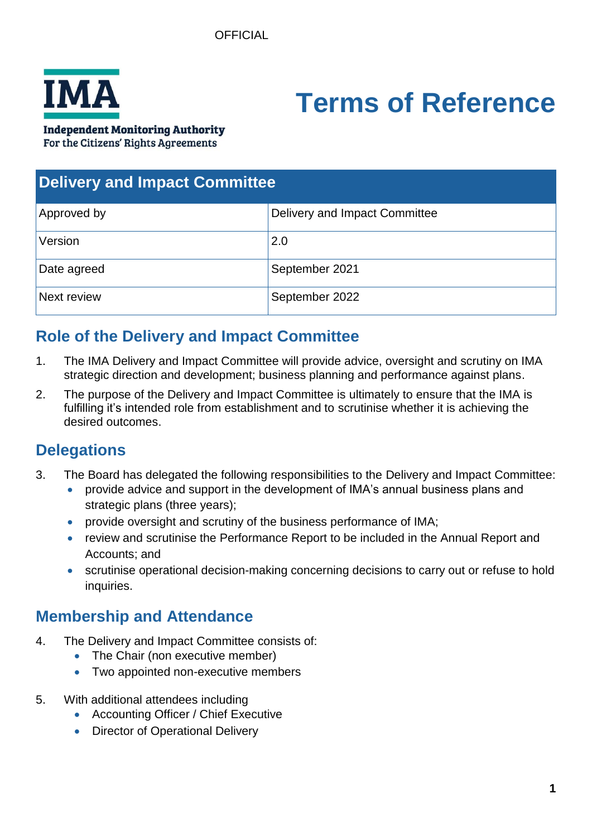

# **Terms of Reference**

**Independent Monitoring Authority** 

For the Citizens' Rights Agreements

| <b>Delivery and Impact Committee</b> |                               |
|--------------------------------------|-------------------------------|
| Approved by                          | Delivery and Impact Committee |
| Version                              | 2.0                           |
| Date agreed                          | September 2021                |
| Next review                          | September 2022                |

# **Role of the Delivery and Impact Committee**

- 1. The IMA Delivery and Impact Committee will provide advice, oversight and scrutiny on IMA strategic direction and development; business planning and performance against plans.
- 2. The purpose of the Delivery and Impact Committee is ultimately to ensure that the IMA is fulfilling it's intended role from establishment and to scrutinise whether it is achieving the desired outcomes.

# **Delegations**

- 3. The Board has delegated the following responsibilities to the Delivery and Impact Committee:
	- provide advice and support in the development of IMA's annual business plans and strategic plans (three years);
	- provide oversight and scrutiny of the business performance of IMA;
	- review and scrutinise the Performance Report to be included in the Annual Report and Accounts; and
	- scrutinise operational decision-making concerning decisions to carry out or refuse to hold inquiries.

## **Membership and Attendance**

- 4. The Delivery and Impact Committee consists of:
	- The Chair (non executive member)
	- Two appointed non-executive members
- 5. With additional attendees including
	- Accounting Officer / Chief Executive
	- Director of Operational Delivery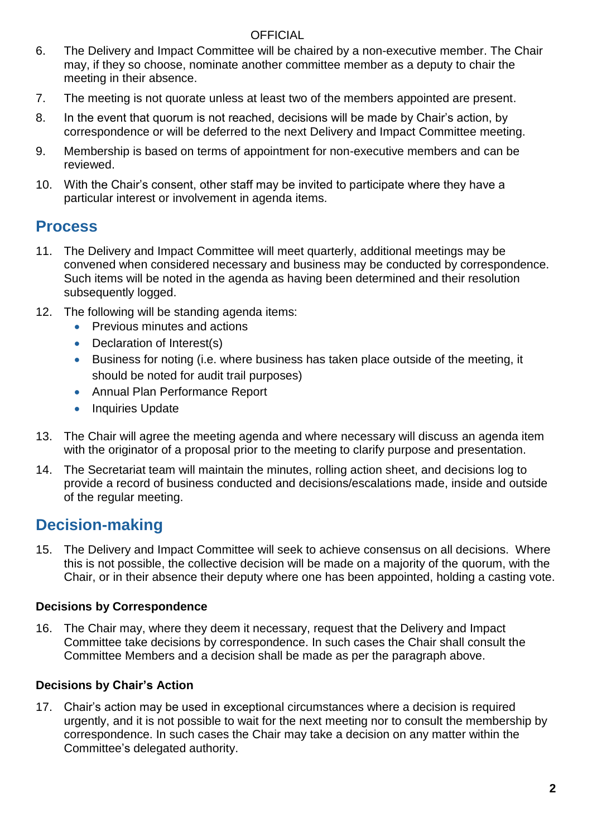#### OFFICIAL

- 6. The Delivery and Impact Committee will be chaired by a non-executive member. The Chair may, if they so choose, nominate another committee member as a deputy to chair the meeting in their absence.
- 7. The meeting is not quorate unless at least two of the members appointed are present.
- 8. In the event that quorum is not reached, decisions will be made by Chair's action, by correspondence or will be deferred to the next Delivery and Impact Committee meeting.
- 9. Membership is based on terms of appointment for non-executive members and can be reviewed.
- 10. With the Chair's consent, other staff may be invited to participate where they have a particular interest or involvement in agenda items.

## **Process**

- 11. The Delivery and Impact Committee will meet quarterly, additional meetings may be convened when considered necessary and business may be conducted by correspondence. Such items will be noted in the agenda as having been determined and their resolution subsequently logged.
- 12. The following will be standing agenda items:
	- Previous minutes and actions
	- Declaration of Interest(s)
	- Business for noting (i.e. where business has taken place outside of the meeting, it should be noted for audit trail purposes)
	- Annual Plan Performance Report
	- Inquiries Update
- 13. The Chair will agree the meeting agenda and where necessary will discuss an agenda item with the originator of a proposal prior to the meeting to clarify purpose and presentation.
- 14. The Secretariat team will maintain the minutes, rolling action sheet, and decisions log to provide a record of business conducted and decisions/escalations made, inside and outside of the regular meeting.

## **Decision-making**

15. The Delivery and Impact Committee will seek to achieve consensus on all decisions. Where this is not possible, the collective decision will be made on a majority of the quorum, with the Chair, or in their absence their deputy where one has been appointed, holding a casting vote.

#### **Decisions by Correspondence**

16. The Chair may, where they deem it necessary, request that the Delivery and Impact Committee take decisions by correspondence. In such cases the Chair shall consult the Committee Members and a decision shall be made as per the paragraph above.

#### **Decisions by Chair's Action**

17. Chair's action may be used in exceptional circumstances where a decision is required urgently, and it is not possible to wait for the next meeting nor to consult the membership by correspondence. In such cases the Chair may take a decision on any matter within the Committee's delegated authority.